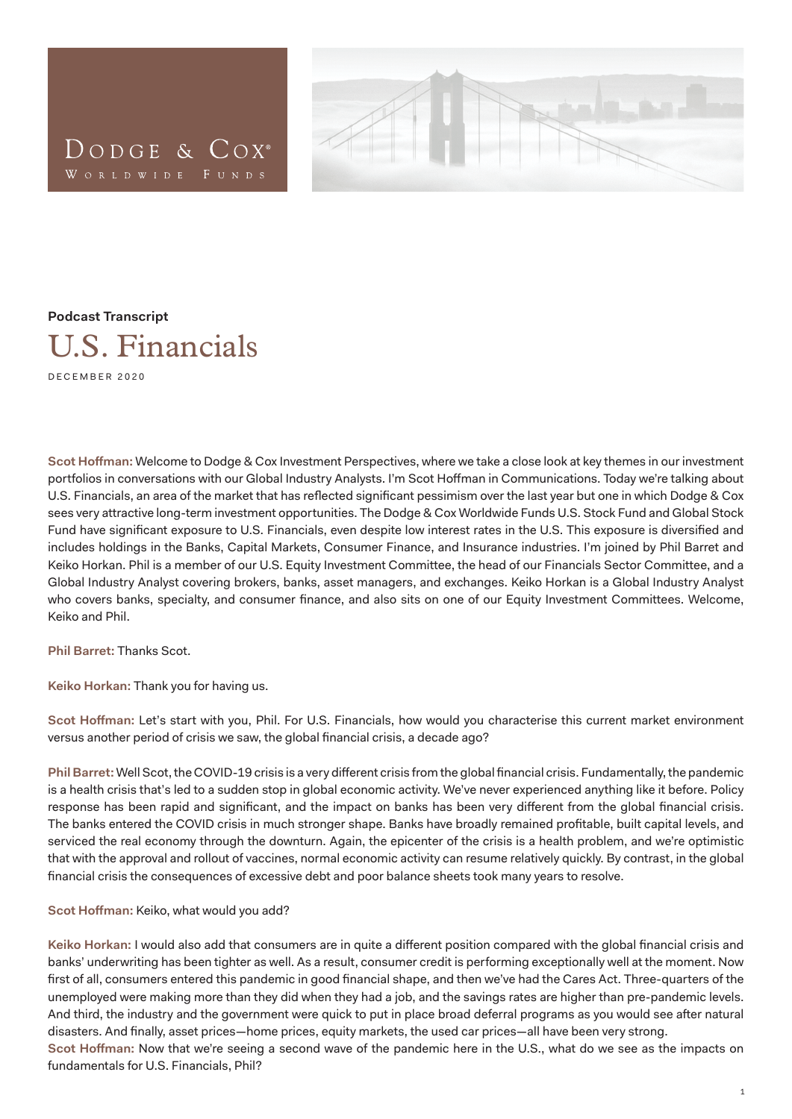



## **Podcast Transcript**



DECEMBER 2020

**Scot Hoffman:** Welcome to Dodge & Cox Investment Perspectives, where we take a close look at key themes in our investment portfolios in conversations with our Global Industry Analysts. I'm Scot Hoffman in Communications. Today we're talking about U.S. Financials, an area of the market that has reflected significant pessimism over the last year but one in which Dodge & Cox sees very attractive long-term investment opportunities. The Dodge & Cox Worldwide Funds U.S. Stock Fund and Global Stock Fund have significant exposure to U.S. Financials, even despite low interest rates in the U.S. This exposure is diversified and includes holdings in the Banks, Capital Markets, Consumer Finance, and Insurance industries. I'm joined by Phil Barret and Keiko Horkan. Phil is a member of our U.S. Equity Investment Committee, the head of our Financials Sector Committee, and a Global Industry Analyst covering brokers, banks, asset managers, and exchanges. Keiko Horkan is a Global Industry Analyst who covers banks, specialty, and consumer finance, and also sits on one of our Equity Investment Committees. Welcome, Keiko and Phil.

**Phil Barret:** Thanks Scot.

**Keiko Horkan:** Thank you for having us.

**Scot Hoffman:** Let's start with you, Phil. For U.S. Financials, how would you characterise this current market environment versus another period of crisis we saw, the global financial crisis, a decade ago?

**Phil Barret:** Well Scot, the COVID-19 crisis is a very different crisis from the global financial crisis. Fundamentally, the pandemic is a health crisis that's led to a sudden stop in global economic activity. We've never experienced anything like it before. Policy response has been rapid and significant, and the impact on banks has been very different from the global financial crisis. The banks entered the COVID crisis in much stronger shape. Banks have broadly remained profitable, built capital levels, and serviced the real economy through the downturn. Again, the epicenter of the crisis is a health problem, and we're optimistic that with the approval and rollout of vaccines, normal economic activity can resume relatively quickly. By contrast, in the global financial crisis the consequences of excessive debt and poor balance sheets took many years to resolve.

## **Scot Hoffman:** Keiko, what would you add?

**Keiko Horkan:** I would also add that consumers are in quite a different position compared with the global financial crisis and banks' underwriting has been tighter as well. As a result, consumer credit is performing exceptionally well at the moment. Now first of all, consumers entered this pandemic in good financial shape, and then we've had the Cares Act. Three-quarters of the unemployed were making more than they did when they had a job, and the savings rates are higher than pre-pandemic levels. And third, the industry and the government were quick to put in place broad deferral programs as you would see after natural disasters. And finally, asset prices—home prices, equity markets, the used car prices—all have been very strong. **Scot Hoffman:** Now that we're seeing a second wave of the pandemic here in the U.S., what do we see as the impacts on fundamentals for U.S. Financials, Phil?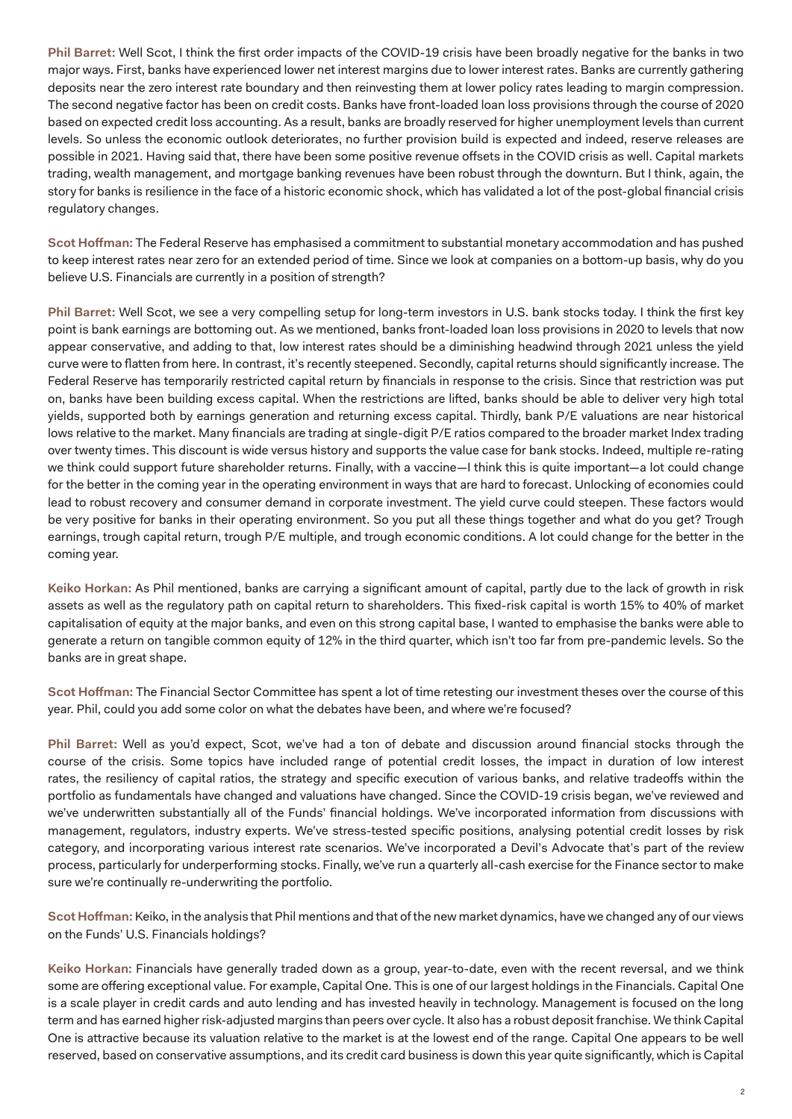**Phil Barret:** Well Scot, I think the first order impacts of the COVID-19 crisis have been broadly negative for the banks in two major ways. First, banks have experienced lower net interest margins due to lower interest rates. Banks are currently gathering deposits near the zero interest rate boundary and then reinvesting them at lower policy rates leading to margin compression. The second negative factor has been on credit costs. Banks have front-loaded loan loss provisions through the course of 2020 based on expected credit loss accounting. As a result, banks are broadly reserved for higher unemployment levels than current levels. So unless the economic outlook deteriorates, no further provision build is expected and indeed, reserve releases are possible in 2021. Having said that, there have been some positive revenue offsets in the COVID crisis as well. Capital markets trading, wealth management, and mortgage banking revenues have been robust through the downturn. But I think, again, the story for banks is resilience in the face of a historic economic shock, which has validated a lot of the post-global financial crisis regulatory changes.

**Scot Hoffman:** The Federal Reserve has emphasised a commitment to substantial monetary accommodation and has pushed to keep interest rates near zero for an extended period of time. Since we look at companies on a bottom-up basis, why do you believe U.S. Financials are currently in a position of strength?

**Phil Barret:** Well Scot, we see a very compelling setup for long-term investors in U.S. bank stocks today. I think the first key point is bank earnings are bottoming out. As we mentioned, banks front-loaded loan loss provisions in 2020 to levels that now appear conservative, and adding to that, low interest rates should be a diminishing headwind through 2021 unless the yield curve were to flatten from here. In contrast, it's recently steepened. Secondly, capital returns should significantly increase. The Federal Reserve has temporarily restricted capital return by financials in response to the crisis. Since that restriction was put on, banks have been building excess capital. When the restrictions are lifted, banks should be able to deliver very high total yields, supported both by earnings generation and returning excess capital. Thirdly, bank P/E valuations are near historical lows relative to the market. Many financials are trading at single-digit P/E ratios compared to the broader market Index trading over twenty times. This discount is wide versus history and supports the value case for bank stocks. Indeed, multiple re-rating we think could support future shareholder returns. Finally, with a vaccine—I think this is quite important—a lot could change for the better in the coming year in the operating environment in ways that are hard to forecast. Unlocking of economies could lead to robust recovery and consumer demand in corporate investment. The yield curve could steepen. These factors would be very positive for banks in their operating environment. So you put all these things together and what do you get? Trough earnings, trough capital return, trough P/E multiple, and trough economic conditions. A lot could change for the better in the coming year.

**Keiko Horkan:** As Phil mentioned, banks are carrying a significant amount of capital, partly due to the lack of growth in risk assets as well as the regulatory path on capital return to shareholders. This fixed-risk capital is worth 15% to 40% of market capitalisation of equity at the major banks, and even on this strong capital base, I wanted to emphasise the banks were able to generate a return on tangible common equity of 12% in the third quarter, which isn't too far from pre-pandemic levels. So the banks are in great shape.

**Scot Hoffman:** The Financial Sector Committee has spent a lot of time retesting our investment theses over the course of this year. Phil, could you add some color on what the debates have been, and where we're focused?

**Phil Barret:** Well as you'd expect, Scot, we've had a ton of debate and discussion around financial stocks through the course of the crisis. Some topics have included range of potential credit losses, the impact in duration of low interest rates, the resiliency of capital ratios, the strategy and specific execution of various banks, and relative tradeoffs within the portfolio as fundamentals have changed and valuations have changed. Since the COVID-19 crisis began, we've reviewed and we've underwritten substantially all of the Funds' financial holdings. We've incorporated information from discussions with management, regulators, industry experts. We've stress-tested specific positions, analysing potential credit losses by risk category, and incorporating various interest rate scenarios. We've incorporated a Devil's Advocate that's part of the review process, particularly for underperforming stocks. Finally, we've run a quarterly all-cash exercise for the Finance sector to make sure we're continually re-underwriting the portfolio.

**Scot Hoffman:** Keiko, in the analysis that Phil mentions and that of the new market dynamics, have we changed any of our views on the Funds' U.S. Financials holdings?

**Keiko Horkan:** Financials have generally traded down as a group, year-to-date, even with the recent reversal, and we think some are offering exceptional value. For example, Capital One. This is one of our largest holdings in the Financials. Capital One is a scale player in credit cards and auto lending and has invested heavily in technology. Management is focused on the long term and has earned higher risk-adjusted margins than peers over cycle. It also has a robust deposit franchise. We think Capital One is attractive because its valuation relative to the market is at the lowest end of the range. Capital One appears to be well reserved, based on conservative assumptions, and its credit card business is down this year quite significantly, which is Capital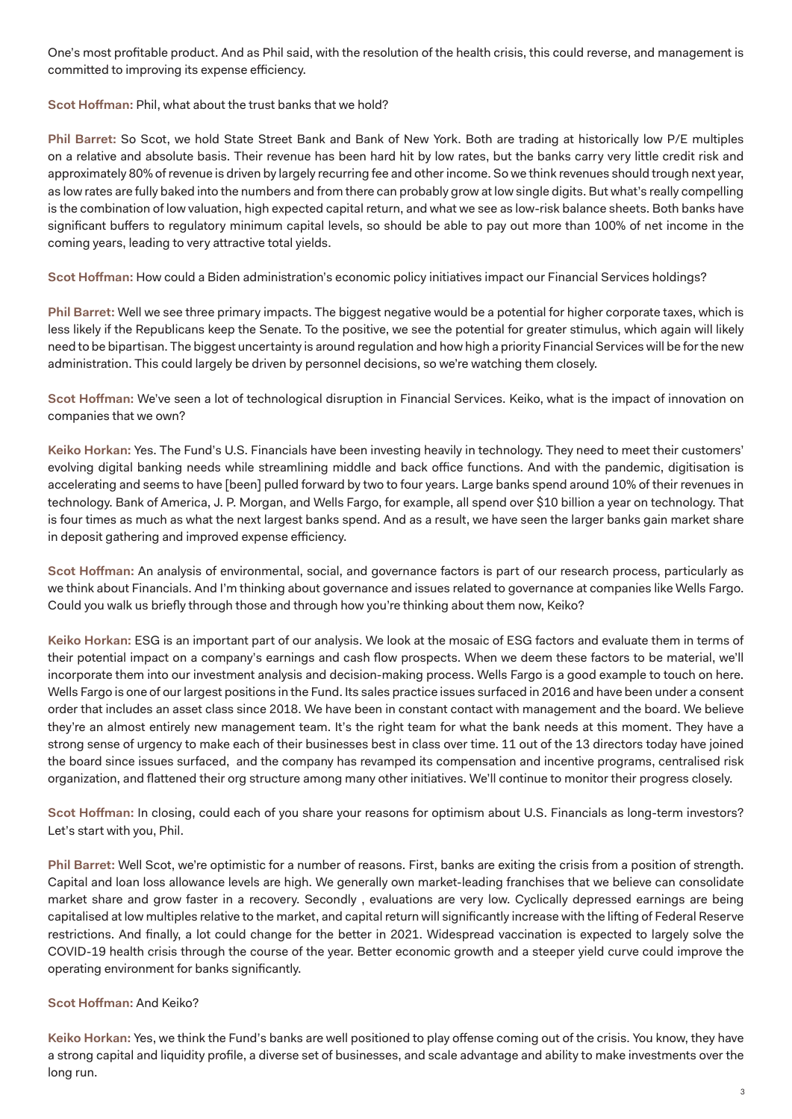One's most profitable product. And as Phil said, with the resolution of the health crisis, this could reverse, and management is committed to improving its expense efficiency.

## **Scot Hoffman:** Phil, what about the trust banks that we hold?

**Phil Barret:** So Scot, we hold State Street Bank and Bank of New York. Both are trading at historically low P/E multiples on a relative and absolute basis. Their revenue has been hard hit by low rates, but the banks carry very little credit risk and approximately 80% of revenue is driven by largely recurring fee and other income. So we think revenues should trough next year, as low rates are fully baked into the numbers and from there can probably grow at low single digits. But what's really compelling is the combination of low valuation, high expected capital return, and what we see as low-risk balance sheets. Both banks have significant buffers to regulatory minimum capital levels, so should be able to pay out more than 100% of net income in the coming years, leading to very attractive total yields.

**Scot Hoffman:** How could a Biden administration's economic policy initiatives impact our Financial Services holdings?

**Phil Barret:** Well we see three primary impacts. The biggest negative would be a potential for higher corporate taxes, which is less likely if the Republicans keep the Senate. To the positive, we see the potential for greater stimulus, which again will likely need to be bipartisan. The biggest uncertainty is around regulation and how high a priority Financial Services will be for the new administration. This could largely be driven by personnel decisions, so we're watching them closely.

**Scot Hoffman:** We've seen a lot of technological disruption in Financial Services. Keiko, what is the impact of innovation on companies that we own?

**Keiko Horkan:** Yes. The Fund's U.S. Financials have been investing heavily in technology. They need to meet their customers' evolving digital banking needs while streamlining middle and back office functions. And with the pandemic, digitisation is accelerating and seems to have [been] pulled forward by two to four years. Large banks spend around 10% of their revenues in technology. Bank of America, J. P. Morgan, and Wells Fargo, for example, all spend over \$10 billion a year on technology. That is four times as much as what the next largest banks spend. And as a result, we have seen the larger banks gain market share in deposit gathering and improved expense efficiency.

**Scot Hoffman:** An analysis of environmental, social, and governance factors is part of our research process, particularly as we think about Financials. And I'm thinking about governance and issues related to governance at companies like Wells Fargo. Could you walk us briefly through those and through how you're thinking about them now, Keiko?

**Keiko Horkan:** ESG is an important part of our analysis. We look at the mosaic of ESG factors and evaluate them in terms of their potential impact on a company's earnings and cash flow prospects. When we deem these factors to be material, we'll incorporate them into our investment analysis and decision-making process. Wells Fargo is a good example to touch on here. Wells Fargo is one of our largest positions in the Fund. Its sales practice issues surfaced in 2016 and have been under a consent order that includes an asset class since 2018. We have been in constant contact with management and the board. We believe they're an almost entirely new management team. It's the right team for what the bank needs at this moment. They have a strong sense of urgency to make each of their businesses best in class over time. 11 out of the 13 directors today have joined the board since issues surfaced, and the company has revamped its compensation and incentive programs, centralised risk organization, and flattened their org structure among many other initiatives. We'll continue to monitor their progress closely.

**Scot Hoffman:** In closing, could each of you share your reasons for optimism about U.S. Financials as long-term investors? Let's start with you, Phil.

**Phil Barret:** Well Scot, we're optimistic for a number of reasons. First, banks are exiting the crisis from a position of strength. Capital and loan loss allowance levels are high. We generally own market-leading franchises that we believe can consolidate market share and grow faster in a recovery. Secondly , evaluations are very low. Cyclically depressed earnings are being capitalised at low multiples relative to the market, and capital return will significantly increase with the lifting of Federal Reserve restrictions. And finally, a lot could change for the better in 2021. Widespread vaccination is expected to largely solve the COVID-19 health crisis through the course of the year. Better economic growth and a steeper yield curve could improve the operating environment for banks significantly.

## **Scot Hoffman:** And Keiko?

**Keiko Horkan:** Yes, we think the Fund's banks are well positioned to play offense coming out of the crisis. You know, they have a strong capital and liquidity profile, a diverse set of businesses, and scale advantage and ability to make investments over the long run.